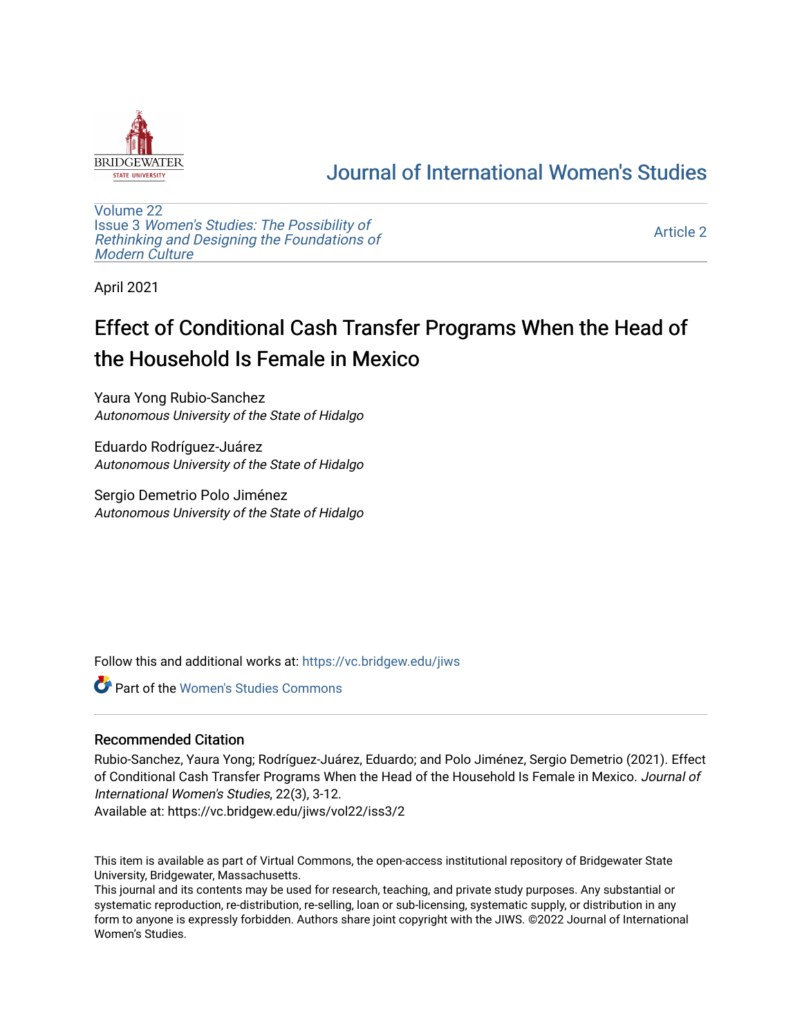

## [Journal of International Women's Studies](https://vc.bridgew.edu/jiws)

[Volume 22](https://vc.bridgew.edu/jiws/vol22) Issue 3 [Women's Studies: The Possibility of](https://vc.bridgew.edu/jiws/vol22/iss3)  [Rethinking and Designing the Foundations of](https://vc.bridgew.edu/jiws/vol22/iss3) [Modern Culture](https://vc.bridgew.edu/jiws/vol22/iss3)

[Article 2](https://vc.bridgew.edu/jiws/vol22/iss3/2) 

April 2021

# Effect of Conditional Cash Transfer Programs When the Head of the Household Is Female in Mexico

Yaura Yong Rubio-Sanchez Autonomous University of the State of Hidalgo

Eduardo Rodríguez-Juárez Autonomous University of the State of Hidalgo

Sergio Demetrio Polo Jiménez Autonomous University of the State of Hidalgo

Follow this and additional works at: [https://vc.bridgew.edu/jiws](https://vc.bridgew.edu/jiws?utm_source=vc.bridgew.edu%2Fjiws%2Fvol22%2Fiss3%2F2&utm_medium=PDF&utm_campaign=PDFCoverPages)

Part of the [Women's Studies Commons](http://network.bepress.com/hgg/discipline/561?utm_source=vc.bridgew.edu%2Fjiws%2Fvol22%2Fiss3%2F2&utm_medium=PDF&utm_campaign=PDFCoverPages) 

## Recommended Citation

Rubio-Sanchez, Yaura Yong; Rodríguez-Juárez, Eduardo; and Polo Jiménez, Sergio Demetrio (2021). Effect of Conditional Cash Transfer Programs When the Head of the Household Is Female in Mexico. Journal of International Women's Studies, 22(3), 3-12.

Available at: https://vc.bridgew.edu/jiws/vol22/iss3/2

This item is available as part of Virtual Commons, the open-access institutional repository of Bridgewater State University, Bridgewater, Massachusetts.

This journal and its contents may be used for research, teaching, and private study purposes. Any substantial or systematic reproduction, re-distribution, re-selling, loan or sub-licensing, systematic supply, or distribution in any form to anyone is expressly forbidden. Authors share joint copyright with the JIWS. ©2022 Journal of International Women's Studies.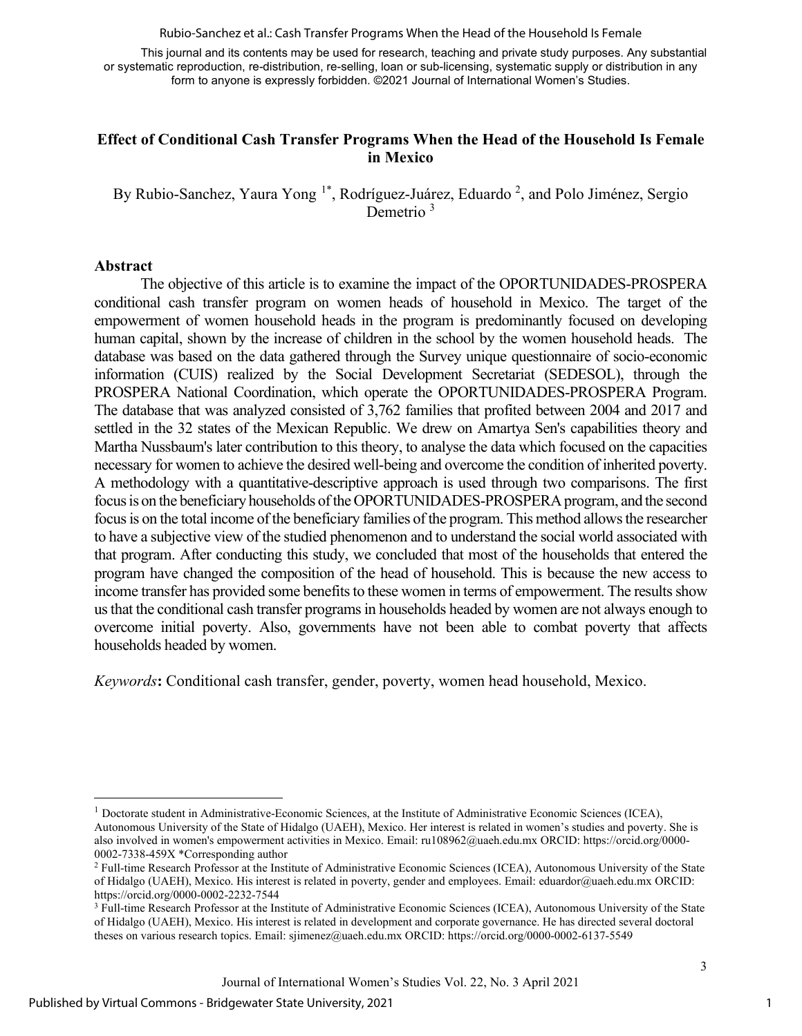Rubio-Sanchez et al.: Cash Transfer Programs When the Head of the Household Is Female

This journal and its contents may be used for research, teaching and private study purposes. Any substantial or systematic reproduction, re-distribution, re-selling, loan or sub-licensing, systematic supply or distribution in any form to anyone is expressly forbidden. ©2021 Journal of International Women's Studies.

## **Effect of Conditional Cash Transfer Programs When the Head of the Household Is Female in Mexico**

By Rubio-Sanchez, Yaura Yong <sup>[1](#page-1-0)\*</sup>, Rodríguez-Juárez, Eduardo<sup>2</sup>, and Polo Jiménez, Sergio Demetrio<sup>3</sup>

#### **Abstract**

The objective of this article is to examine the impact of the OPORTUNIDADES-PROSPERA conditional cash transfer program on women heads of household in Mexico. The target of the empowerment of women household heads in the program is predominantly focused on developing human capital, shown by the increase of children in the school by the women household heads. The database was based on the data gathered through the Survey unique questionnaire of socio-economic information (CUIS) realized by the Social Development Secretariat (SEDESOL), through the PROSPERA National Coordination, which operate the OPORTUNIDADES-PROSPERA Program. The database that was analyzed consisted of 3,762 families that profited between 2004 and 2017 and settled in the 32 states of the Mexican Republic. We drew on Amartya Sen's capabilities theory and Martha Nussbaum's later contribution to this theory, to analyse the data which focused on the capacities necessary for women to achieve the desired well-being and overcome the condition of inherited poverty. A methodology with a quantitative-descriptive approach is used through two comparisons. The first focus is on the beneficiary households of the OPORTUNIDADES-PROSPERA program, and the second focus is on the total income of the beneficiary families of the program. This method allows the researcher to have a subjective view of the studied phenomenon and to understand the social world associated with that program. After conducting this study, we concluded that most of the households that entered the program have changed the composition of the head of household. This is because the new access to income transfer has provided some benefits to these women in terms of empowerment. The results show us that the conditional cash transfer programs in households headed by women are not always enough to overcome initial poverty. Also, governments have not been able to combat poverty that affects households headed by women.

*Keywords***:** Conditional cash transfer, gender, poverty, women head household, Mexico.

<span id="page-1-0"></span><sup>&</sup>lt;sup>1</sup> Doctorate student in Administrative-Economic Sciences, at the Institute of Administrative Economic Sciences (ICEA), Autonomous University of the State of Hidalgo (UAEH), Mexico. Her interest is related in women's studies and poverty. She is also involved in women's empowerment activities in Mexico. Email[: ru108962@uaeh.edu.mx](mailto:ru108962@uaeh.edu.mx) ORCID[: https://orcid.org/0000-](https://orcid.org/0000-0002-7338-459X) [0002-7338-459X](https://orcid.org/0000-0002-7338-459X) \*Corresponding author

<sup>&</sup>lt;sup>2</sup> Full-time Research Professor at the Institute of Administrative Economic Sciences (ICEA), Autonomous University of the State of Hidalgo (UAEH), Mexico. His interest is related in poverty, gender and employees. Email[: eduardor@uaeh.edu.mx](mailto:eduardor@uaeh.edu.mx) ORCID: <https://orcid.org/0000-0002-2232-7544>

<sup>&</sup>lt;sup>3</sup> Full-time Research Professor at the Institute of Administrative Economic Sciences (ICEA), Autonomous University of the State of Hidalgo (UAEH), Mexico. His interest is related in development and corporate governance. He has directed several doctoral theses on various research topics. Email[: sjimenez@uaeh.edu.mx](mailto:sjimenez@uaeh.edu.mx) ORCID:<https://orcid.org/0000-0002-6137-5549>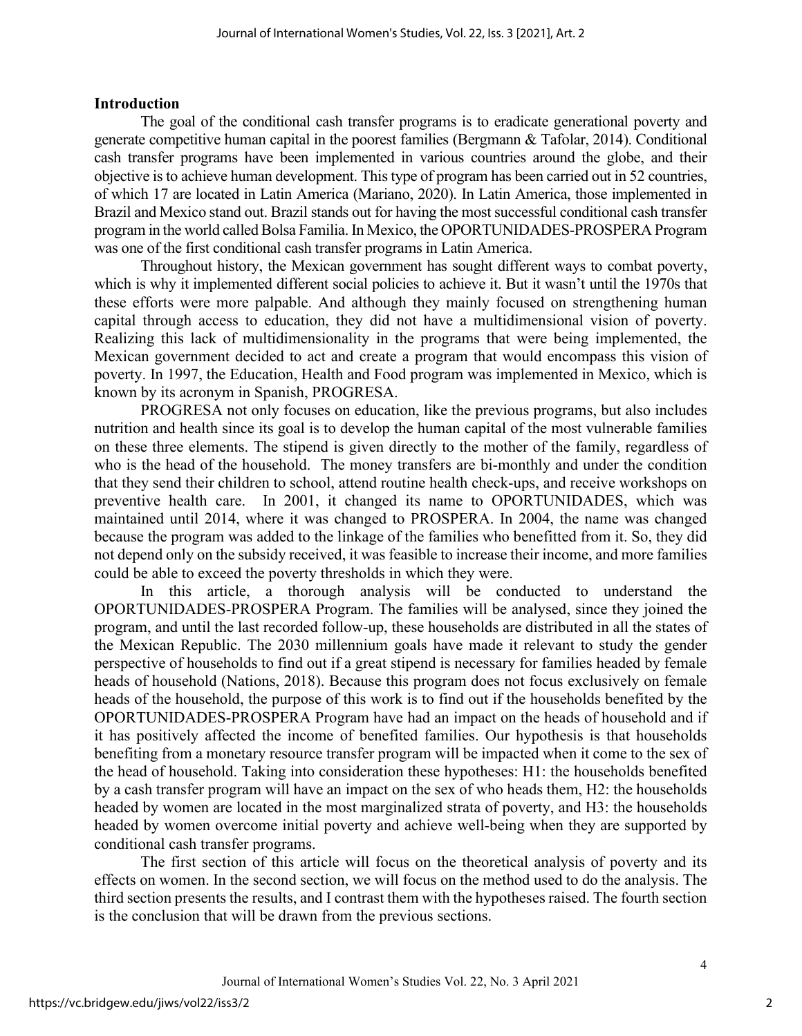## **Introduction**

The goal of the conditional cash transfer programs is to eradicate generational poverty and generate competitive human capital in the poorest families (Bergmann & Tafolar, 2014). Conditional cash transfer programs have been implemented in various countries around the globe, and their objective is to achieve human development. This type of program has been carried out in 52 countries, of which 17 are located in Latin America (Mariano, 2020). In Latin America, those implemented in Brazil and Mexico stand out. Brazil stands out for having the most successful conditional cash transfer program in the world called Bolsa Familia. In Mexico, the OPORTUNIDADES-PROSPERA Program was one of the first conditional cash transfer programs in Latin America.

Throughout history, the Mexican government has sought different ways to combat poverty, which is why it implemented different social policies to achieve it. But it wasn't until the 1970s that these efforts were more palpable. And although they mainly focused on strengthening human capital through access to education, they did not have a multidimensional vision of poverty. Realizing this lack of multidimensionality in the programs that were being implemented, the Mexican government decided to act and create a program that would encompass this vision of poverty. In 1997, the Education, Health and Food program was implemented in Mexico, which is known by its acronym in Spanish, PROGRESA.

PROGRESA not only focuses on education, like the previous programs, but also includes nutrition and health since its goal is to develop the human capital of the most vulnerable families on these three elements. The stipend is given directly to the mother of the family, regardless of who is the head of the household. The money transfers are bi-monthly and under the condition that they send their children to school, attend routine health check-ups, and receive workshops on preventive health care. In 2001, it changed its name to OPORTUNIDADES, which was maintained until 2014, where it was changed to PROSPERA. In 2004, the name was changed because the program was added to the linkage of the families who benefitted from it. So, they did not depend only on the subsidy received, it was feasible to increase their income, and more families could be able to exceed the poverty thresholds in which they were.

In this article, a thorough analysis will be conducted to understand the OPORTUNIDADES-PROSPERA Program. The families will be analysed, since they joined the program, and until the last recorded follow-up, these households are distributed in all the states of the Mexican Republic. The 2030 millennium goals have made it relevant to study the gender perspective of households to find out if a great stipend is necessary for families headed by female heads of household (Nations, 2018). Because this program does not focus exclusively on female heads of the household, the purpose of this work is to find out if the households benefited by the OPORTUNIDADES-PROSPERA Program have had an impact on the heads of household and if it has positively affected the income of benefited families. Our hypothesis is that households benefiting from a monetary resource transfer program will be impacted when it come to the sex of the head of household. Taking into consideration these hypotheses: H1: the households benefited by a cash transfer program will have an impact on the sex of who heads them, H2: the households headed by women are located in the most marginalized strata of poverty, and H3: the households headed by women overcome initial poverty and achieve well-being when they are supported by conditional cash transfer programs.

The first section of this article will focus on the theoretical analysis of poverty and its effects on women. In the second section, we will focus on the method used to do the analysis. The third section presents the results, and I contrast them with the hypotheses raised. The fourth section is the conclusion that will be drawn from the previous sections.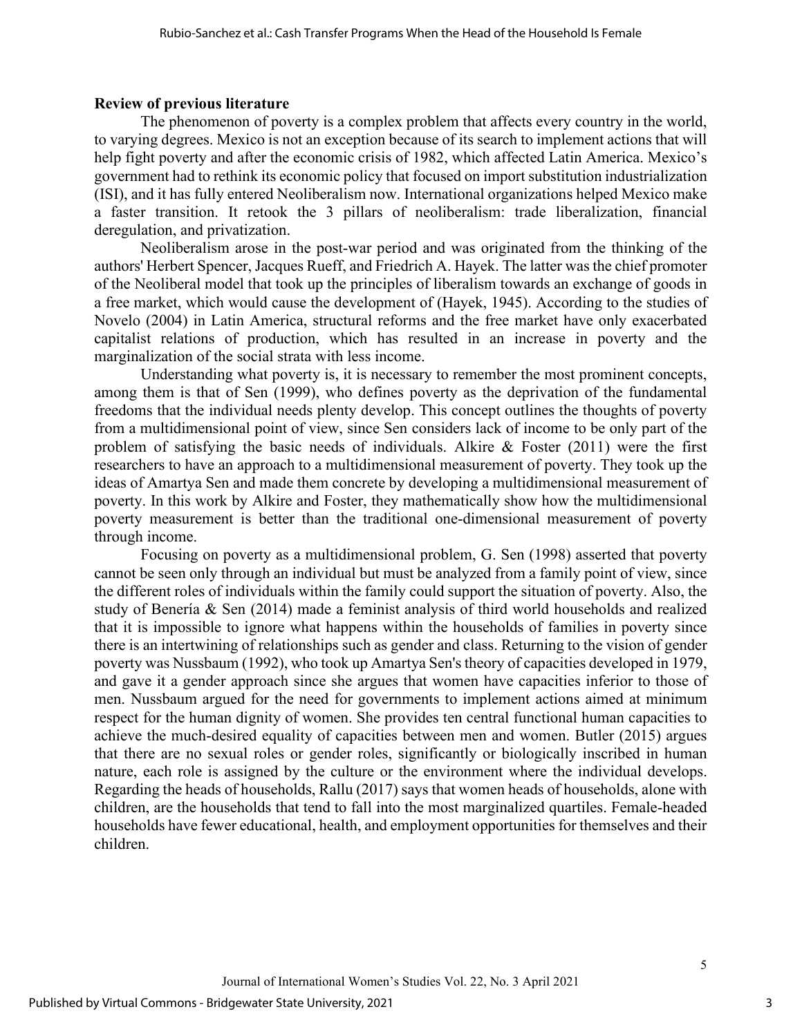### **Review of previous literature**

The phenomenon of poverty is a complex problem that affects every country in the world, to varying degrees. Mexico is not an exception because of its search to implement actions that will help fight poverty and after the economic crisis of 1982, which affected Latin America. Mexico's government had to rethink its economic policy that focused on import substitution industrialization (ISI), and it has fully entered Neoliberalism now. International organizations helped Mexico make a faster transition. It retook the 3 pillars of neoliberalism: trade liberalization, financial deregulation, and privatization.

Neoliberalism arose in the post-war period and was originated from the thinking of the authors' Herbert Spencer, Jacques Rueff, and Friedrich A. Hayek. The latter was the chief promoter of the Neoliberal model that took up the principles of liberalism towards an exchange of goods in a free market, which would cause the development of (Hayek, 1945). According to the studies of Novelo (2004) in Latin America, structural reforms and the free market have only exacerbated capitalist relations of production, which has resulted in an increase in poverty and the marginalization of the social strata with less income.

Understanding what poverty is, it is necessary to remember the most prominent concepts, among them is that of Sen (1999), who defines poverty as the deprivation of the fundamental freedoms that the individual needs plenty develop. This concept outlines the thoughts of poverty from a multidimensional point of view, since Sen considers lack of income to be only part of the problem of satisfying the basic needs of individuals. Alkire & Foster (2011) were the first researchers to have an approach to a multidimensional measurement of poverty. They took up the ideas of Amartya Sen and made them concrete by developing a multidimensional measurement of poverty. In this work by Alkire and Foster, they mathematically show how the multidimensional poverty measurement is better than the traditional one-dimensional measurement of poverty through income.

Focusing on poverty as a multidimensional problem, G. Sen (1998) asserted that poverty cannot be seen only through an individual but must be analyzed from a family point of view, since the different roles of individuals within the family could support the situation of poverty. Also, the study of Benería & Sen (2014) made a feminist analysis of third world households and realized that it is impossible to ignore what happens within the households of families in poverty since there is an intertwining of relationships such as gender and class. Returning to the vision of gender poverty was Nussbaum (1992), who took up Amartya Sen's theory of capacities developed in 1979, and gave it a gender approach since she argues that women have capacities inferior to those of men. Nussbaum argued for the need for governments to implement actions aimed at minimum respect for the human dignity of women. She provides ten central functional human capacities to achieve the much-desired equality of capacities between men and women. Butler (2015) argues that there are no sexual roles or gender roles, significantly or biologically inscribed in human nature, each role is assigned by the culture or the environment where the individual develops. Regarding the heads of households, Rallu (2017) says that women heads of households, alone with children, are the households that tend to fall into the most marginalized quartiles. Female-headed households have fewer educational, health, and employment opportunities for themselves and their children.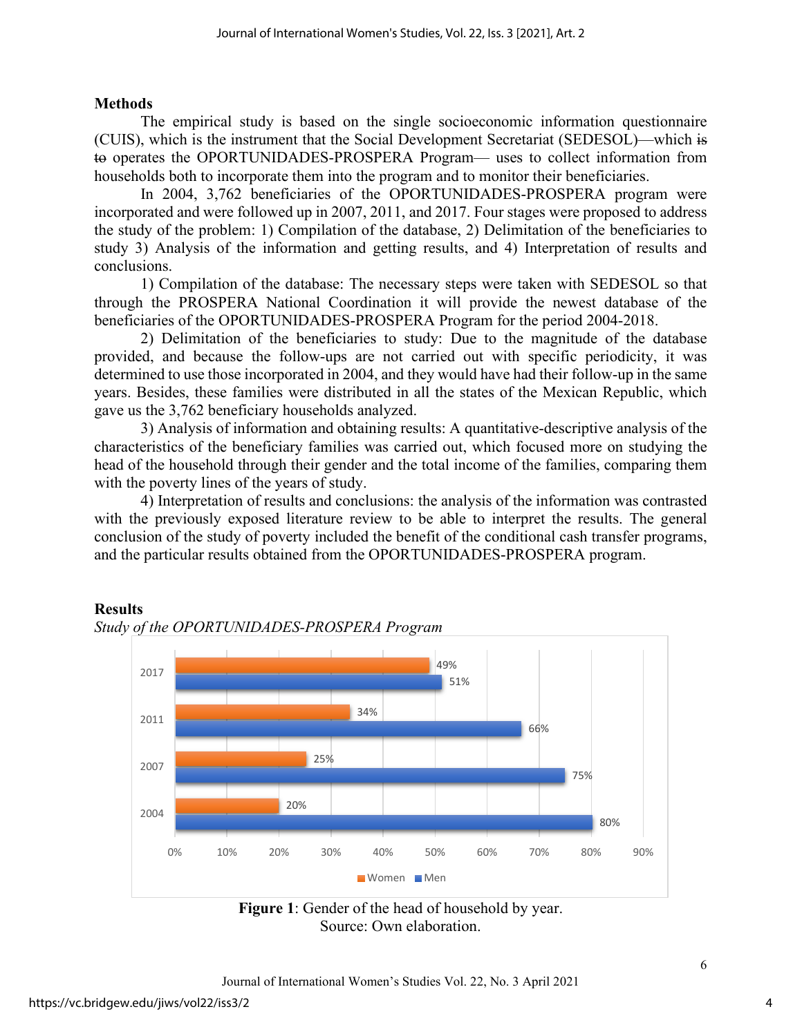#### **Methods**

The empirical study is based on the single socioeconomic information questionnaire (CUIS), which is the instrument that the Social Development Secretariat (SEDESOL)—which is to operates the OPORTUNIDADES-PROSPERA Program— uses to collect information from households both to incorporate them into the program and to monitor their beneficiaries.

In 2004, 3,762 beneficiaries of the OPORTUNIDADES-PROSPERA program were incorporated and were followed up in 2007, 2011, and 2017. Four stages were proposed to address the study of the problem: 1) Compilation of the database, 2) Delimitation of the beneficiaries to study 3) Analysis of the information and getting results, and 4) Interpretation of results and conclusions.

1) Compilation of the database: The necessary steps were taken with SEDESOL so that through the PROSPERA National Coordination it will provide the newest database of the beneficiaries of the OPORTUNIDADES-PROSPERA Program for the period 2004-2018.

2) Delimitation of the beneficiaries to study: Due to the magnitude of the database provided, and because the follow-ups are not carried out with specific periodicity, it was determined to use those incorporated in 2004, and they would have had their follow-up in the same years. Besides, these families were distributed in all the states of the Mexican Republic, which gave us the 3,762 beneficiary households analyzed.

3) Analysis of information and obtaining results: A quantitative-descriptive analysis of the characteristics of the beneficiary families was carried out, which focused more on studying the head of the household through their gender and the total income of the families, comparing them with the poverty lines of the years of study.

4) Interpretation of results and conclusions: the analysis of the information was contrasted with the previously exposed literature review to be able to interpret the results. The general conclusion of the study of poverty included the benefit of the conditional cash transfer programs, and the particular results obtained from the OPORTUNIDADES-PROSPERA program.

#### **Results**



## *Study of the OPORTUNIDADES-PROSPERA Program*

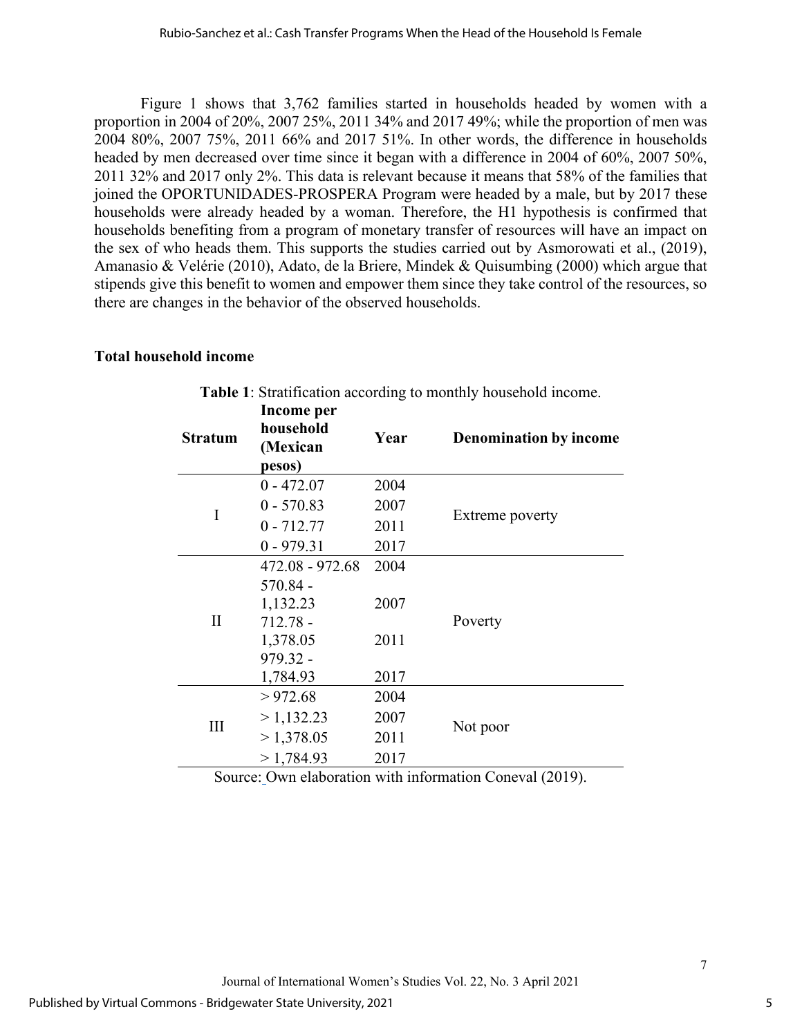Figure 1 shows that 3,762 families started in households headed by women with a proportion in 2004 of 20%, 2007 25%, 2011 34% and 2017 49%; while the proportion of men was 2004 80%, 2007 75%, 2011 66% and 2017 51%. In other words, the difference in households headed by men decreased over time since it began with a difference in 2004 of 60%, 2007 50%, 2011 32% and 2017 only 2%. This data is relevant because it means that 58% of the families that joined the OPORTUNIDADES-PROSPERA Program were headed by a male, but by 2017 these households were already headed by a woman. Therefore, the H1 hypothesis is confirmed that households benefiting from a program of monetary transfer of resources will have an impact on the sex of who heads them. This supports the studies carried out by Asmorowati et al., (2019), Amanasio & Velérie (2010), Adato, de la Briere, Mindek & Quisumbing (2000) which argue that stipends give this benefit to women and empower them since they take control of the resources, so there are changes in the behavior of the observed households.

## **Total household income**

| <b>Stratum</b> | Income per<br>household<br>(Mexican<br>pesos) | Year | <b>Denomination by income</b> |
|----------------|-----------------------------------------------|------|-------------------------------|
| I              | $0 - 472.07$                                  | 2004 | Extreme poverty               |
|                | $0 - 570.83$                                  | 2007 |                               |
|                | $0 - 712.77$                                  | 2011 |                               |
|                | $0 - 979.31$                                  | 2017 |                               |
| $\rm II$       | $472.08 - 972.68$                             | 2004 | Poverty                       |
|                | $570.84 -$                                    |      |                               |
|                | 1,132.23                                      | 2007 |                               |
|                | $712.78 -$                                    |      |                               |
|                | 1,378.05                                      | 2011 |                               |
|                | $979.32 -$                                    |      |                               |
|                | 1,784.93                                      | 2017 |                               |
| Ш              | > 972.68                                      | 2004 | Not poor                      |
|                | >1,132.23                                     | 2007 |                               |
|                | > 1,378.05                                    | 2011 |                               |
|                | >1,784.93                                     | 2017 |                               |

**Table 1**: Stratification according to monthly household income.

Source: Own elaboration with information Coneval (2019).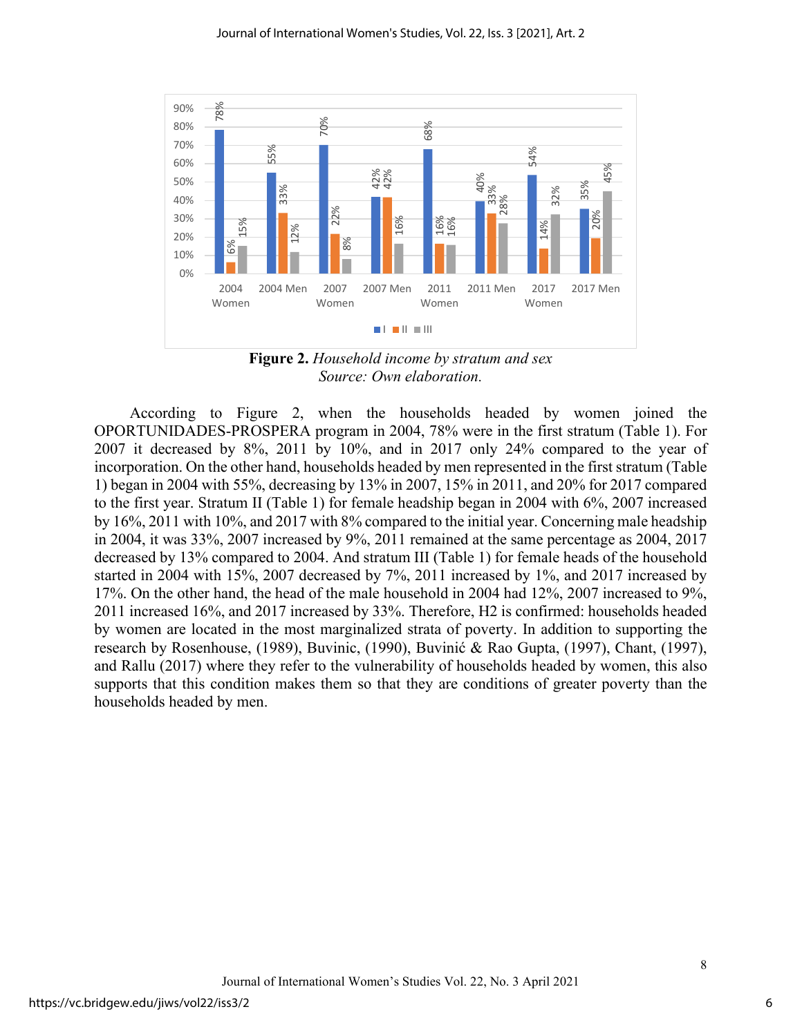

**Figure 2.** *Household income by stratum and sex Source: Own elaboration.*

According to Figure 2, when the households headed by women joined the OPORTUNIDADES-PROSPERA program in 2004, 78% were in the first stratum (Table 1). For 2007 it decreased by 8%, 2011 by 10%, and in 2017 only 24% compared to the year of incorporation. On the other hand, households headed by men represented in the first stratum (Table 1) began in 2004 with 55%, decreasing by 13% in 2007, 15% in 2011, and 20% for 2017 compared to the first year. Stratum II (Table 1) for female headship began in 2004 with 6%, 2007 increased by 16%, 2011 with 10%, and 2017 with 8% compared to the initial year. Concerning male headship in 2004, it was 33%, 2007 increased by 9%, 2011 remained at the same percentage as 2004, 2017 decreased by 13% compared to 2004. And stratum III (Table 1) for female heads of the household started in 2004 with 15%, 2007 decreased by 7%, 2011 increased by 1%, and 2017 increased by 17%. On the other hand, the head of the male household in 2004 had 12%, 2007 increased to 9%, 2011 increased 16%, and 2017 increased by 33%. Therefore, H2 is confirmed: households headed by women are located in the most marginalized strata of poverty. In addition to supporting the research by Rosenhouse, (1989), Buvinic, (1990), Buvinić & Rao Gupta, (1997), Chant, (1997), and Rallu (2017) where they refer to the vulnerability of households headed by women, this also supports that this condition makes them so that they are conditions of greater poverty than the  $\frac{100\%}{60\%}$ <br>  $\frac{100\%}{60\%}$ <br>  $\frac{100\%}{30\%}$ <br>  $\frac{100\%}{20\%}$ <br>  $\frac{100\%}{20\%}$ <br>  $\frac{100\%}{2004}$ <br>  $\frac{100\%}{2004}$ <br>  $\frac{100\%}{2004}$ <br>  $\frac{100\%}{2004}$ <br>  $\frac{100\%}{2004}$ <br>  $\frac{100\%}{2004}$ <br>  $\frac{100\%}{2004}$ <br>  $\frac{1$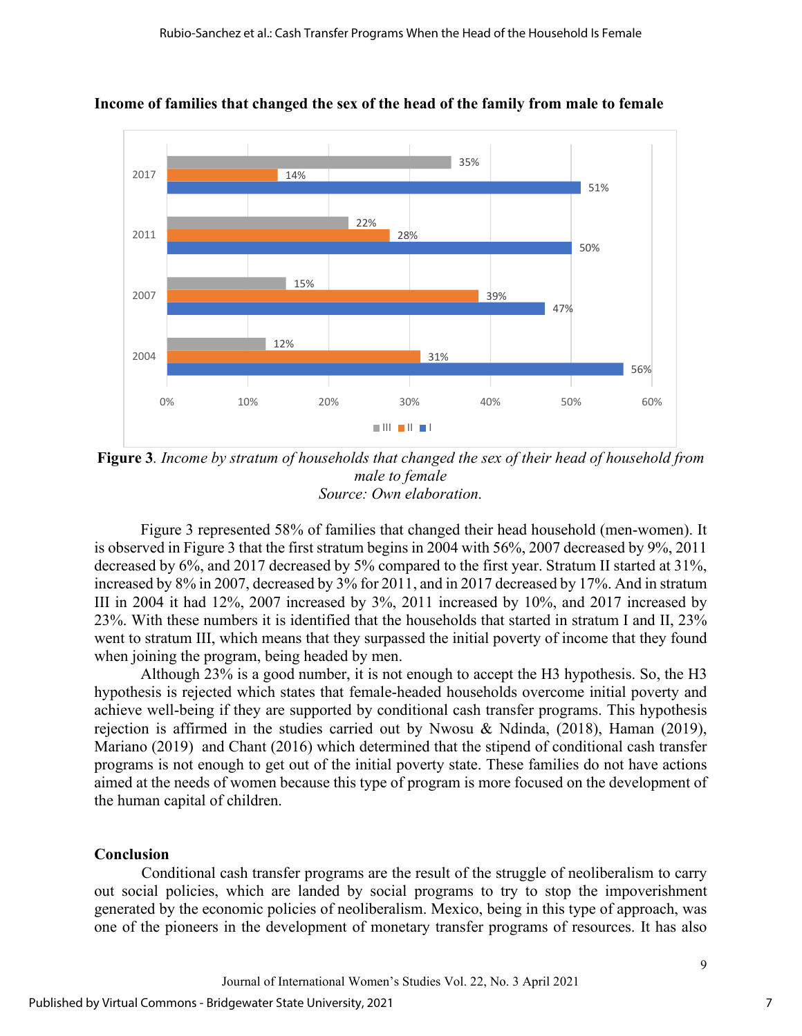

**Income of families that changed the sex of the head of the family from male to female** 

**Figure 3***. Income by stratum of households that changed the sex of their head of household from male to female Source: Own elaboration.* 

Figure 3 represented 58% of families that changed their head household (men-women). It is observed in Figure 3 that the first stratum begins in 2004 with 56%, 2007 decreased by 9%, 2011 decreased by 6%, and 2017 decreased by 5% compared to the first year. Stratum II started at 31%, increased by 8% in 2007, decreased by 3% for 2011, and in 2017 decreased by 17%. And in stratum III in 2004 it had 12%, 2007 increased by 3%, 2011 increased by 10%, and 2017 increased by 23%. With these numbers it is identified that the households that started in stratum I and II, 23% went to stratum III, which means that they surpassed the initial poverty of income that they found when joining the program, being headed by men.

Although 23% is a good number, it is not enough to accept the H3 hypothesis. So, the H3 hypothesis is rejected which states that female-headed households overcome initial poverty and achieve well-being if they are supported by conditional cash transfer programs. This hypothesis rejection is affirmed in the studies carried out by Nwosu & Ndinda, (2018), Haman (2019), Mariano (2019) and Chant (2016) which determined that the stipend of conditional cash transfer programs is not enough to get out of the initial poverty state. These families do not have actions aimed at the needs of women because this type of program is more focused on the development of the human capital of children.

## **Conclusion**

Conditional cash transfer programs are the result of the struggle of neoliberalism to carry out social policies, which are landed by social programs to try to stop the impoverishment generated by the economic policies of neoliberalism. Mexico, being in this type of approach, was one of the pioneers in the development of monetary transfer programs of resources. It has also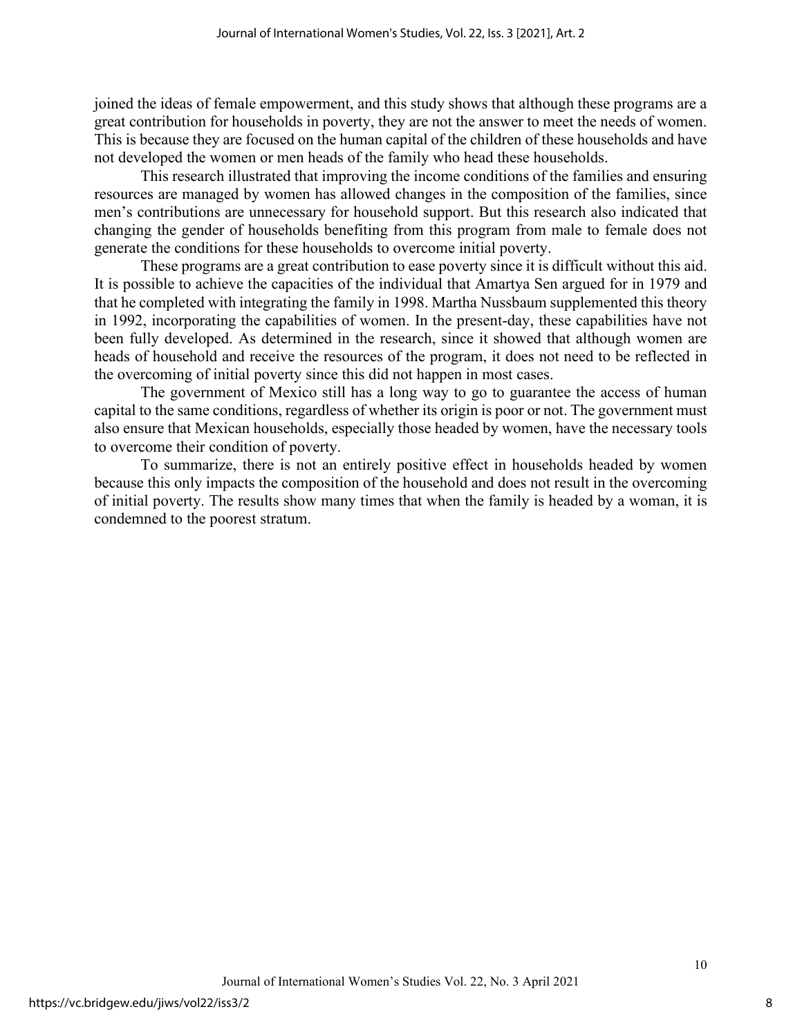joined the ideas of female empowerment, and this study shows that although these programs are a great contribution for households in poverty, they are not the answer to meet the needs of women. This is because they are focused on the human capital of the children of these households and have not developed the women or men heads of the family who head these households.

This research illustrated that improving the income conditions of the families and ensuring resources are managed by women has allowed changes in the composition of the families, since men's contributions are unnecessary for household support. But this research also indicated that changing the gender of households benefiting from this program from male to female does not generate the conditions for these households to overcome initial poverty.

These programs are a great contribution to ease poverty since it is difficult without this aid. It is possible to achieve the capacities of the individual that Amartya Sen argued for in 1979 and that he completed with integrating the family in 1998. Martha Nussbaum supplemented this theory in 1992, incorporating the capabilities of women. In the present-day, these capabilities have not been fully developed. As determined in the research, since it showed that although women are heads of household and receive the resources of the program, it does not need to be reflected in the overcoming of initial poverty since this did not happen in most cases.

The government of Mexico still has a long way to go to guarantee the access of human capital to the same conditions, regardless of whether its origin is poor or not. The government must also ensure that Mexican households, especially those headed by women, have the necessary tools to overcome their condition of poverty.

To summarize, there is not an entirely positive effect in households headed by women because this only impacts the composition of the household and does not result in the overcoming of initial poverty. The results show many times that when the family is headed by a woman, it is condemned to the poorest stratum.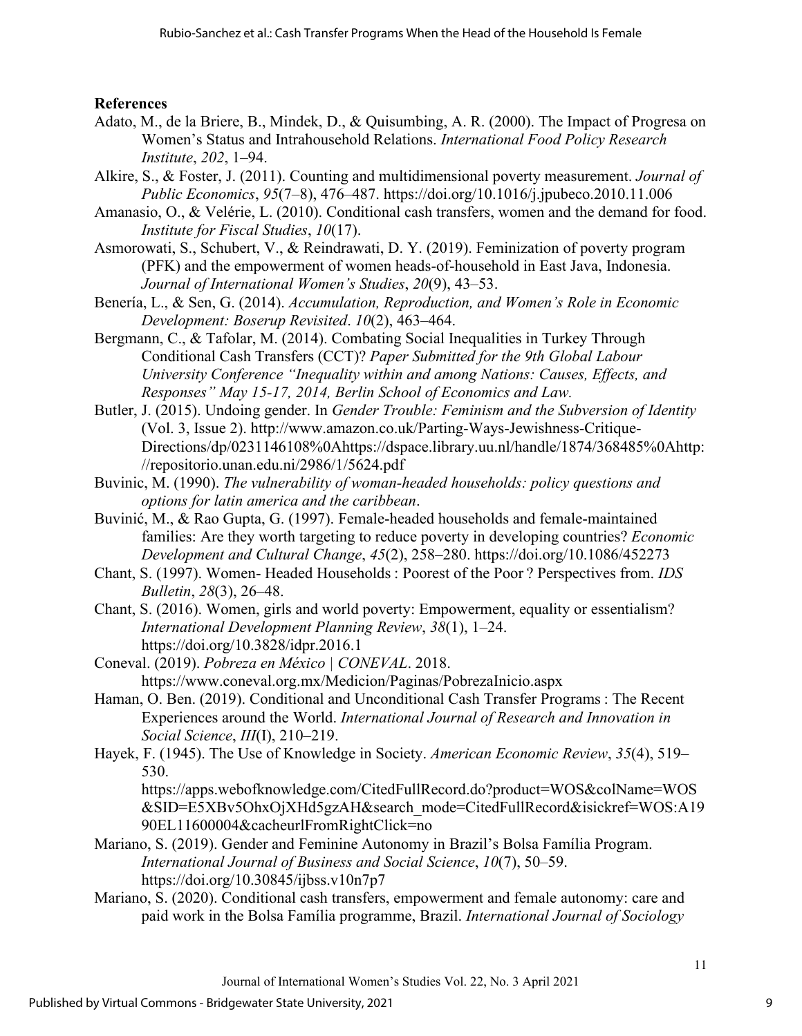## **References**

- Adato, M., de la Briere, B., Mindek, D., & Quisumbing, A. R. (2000). The Impact of Progresa on Women's Status and Intrahousehold Relations. *International Food Policy Research Institute*, *202*, 1–94.
- Alkire, S., & Foster, J. (2011). Counting and multidimensional poverty measurement. *Journal of Public Economics*, *95*(7–8), 476–487. https://doi.org/10.1016/j.jpubeco.2010.11.006
- Amanasio, O., & Velérie, L. (2010). Conditional cash transfers, women and the demand for food. *Institute for Fiscal Studies*, *10*(17).
- Asmorowati, S., Schubert, V., & Reindrawati, D. Y. (2019). Feminization of poverty program (PFK) and the empowerment of women heads-of-household in East Java, Indonesia. *Journal of International Women's Studies*, *20*(9), 43–53.
- Benería, L., & Sen, G. (2014). *Accumulation, Reproduction, and Women's Role in Economic Development: Boserup Revisited*. *10*(2), 463–464.
- Bergmann, C., & Tafolar, M. (2014). Combating Social Inequalities in Turkey Through Conditional Cash Transfers (CCT)? *Paper Submitted for the 9th Global Labour University Conference "Inequality within and among Nations: Causes, Effects, and Responses" May 15-17, 2014, Berlin School of Economics and Law.*
- Butler, J. (2015). Undoing gender. In *Gender Trouble: Feminism and the Subversion of Identity* (Vol. 3, Issue 2). http://www.amazon.co.uk/Parting-Ways-Jewishness-Critique-Directions/dp/0231146108%0Ahttps://dspace.library.uu.nl/handle/1874/368485%0Ahttp: //repositorio.unan.edu.ni/2986/1/5624.pdf
- Buvinic, M. (1990). *The vulnerability of woman-headed households: policy questions and options for latin america and the caribbean*.
- Buvinić, M., & Rao Gupta, G. (1997). Female-headed households and female-maintained families: Are they worth targeting to reduce poverty in developing countries? *Economic Development and Cultural Change*, *45*(2), 258–280. https://doi.org/10.1086/452273
- Chant, S. (1997). Women- Headed Households : Poorest of the Poor ? Perspectives from. *IDS Bulletin*, *28*(3), 26–48.
- Chant, S. (2016). Women, girls and world poverty: Empowerment, equality or essentialism? *International Development Planning Review*, *38*(1), 1–24. https://doi.org/10.3828/idpr.2016.1
- Coneval. (2019). *Pobreza en México | CONEVAL*. 2018. https://www.coneval.org.mx/Medicion/Paginas/PobrezaInicio.aspx
- Haman, O. Ben. (2019). Conditional and Unconditional Cash Transfer Programs : The Recent Experiences around the World. *International Journal of Research and Innovation in Social Science*, *III*(I), 210–219.
- Hayek, F. (1945). The Use of Knowledge in Society. *American Economic Review*, *35*(4), 519– 530.
	- https://apps.webofknowledge.com/CitedFullRecord.do?product=WOS&colName=WOS &SID=E5XBv5OhxOjXHd5gzAH&search\_mode=CitedFullRecord&isickref=WOS:A19 90EL11600004&cacheurlFromRightClick=no
- Mariano, S. (2019). Gender and Feminine Autonomy in Brazil's Bolsa Família Program. *International Journal of Business and Social Science*, *10*(7), 50–59. https://doi.org/10.30845/ijbss.v10n7p7
- Mariano, S. (2020). Conditional cash transfers, empowerment and female autonomy: care and paid work in the Bolsa Família programme, Brazil. *International Journal of Sociology*